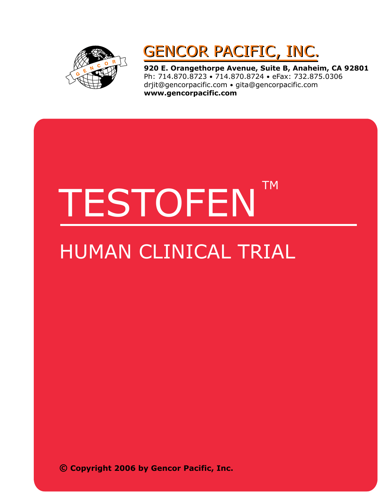

### GENCOR PACIFIC, INC. GENCOR PACIFIC, INC.

**920 E. Orangethorpe Avenue, Suite B, Anaheim, CA 92801** Ph: 714.870.8723 • 714.870.8724 • eFax: 732.875.0306 drjit@gencorpacific.com • gita@gencorpacific.com **www.gencorpacific.com**

# TESTOFEN TM

## HUMAN CLINICAL TRIAL

**© Copyright 2006 by Gencor Pacific, Inc.**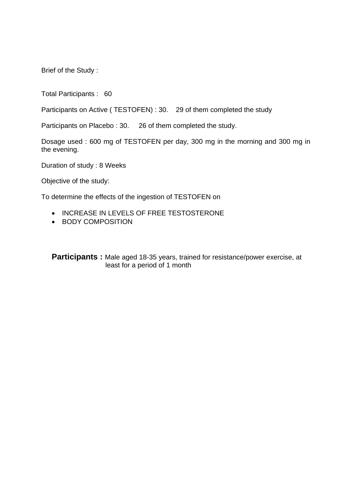Brief of the Study :

Total Participants : 60

Participants on Active ( TESTOFEN) : 30. 29 of them completed the study

Participants on Placebo : 30. 26 of them completed the study.

Dosage used : 600 mg of TESTOFEN per day, 300 mg in the morning and 300 mg in the evening.

Duration of study : 8 Weeks

Objective of the study:

To determine the effects of the ingestion of TESTOFEN on

- INCREASE IN LEVELS OF FREE TESTOSTERONE
- BODY COMPOSITION

**Participants :** Male aged 18-35 years, trained for resistance/power exercise, at least for a period of 1 month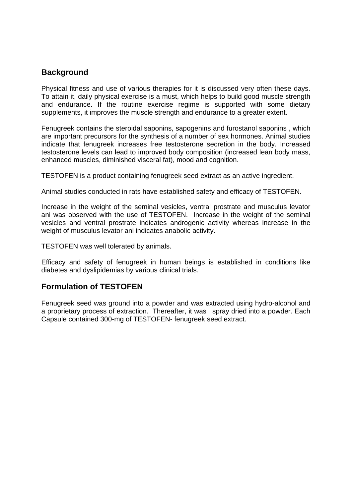#### **Background**

Physical fitness and use of various therapies for it is discussed very often these days. To attain it, daily physical exercise is a must, which helps to build good muscle strength and endurance. If the routine exercise regime is supported with some dietary supplements, it improves the muscle strength and endurance to a greater extent.

Fenugreek contains the steroidal saponins, sapogenins and furostanol saponins , which are important precursors for the synthesis of a number of sex hormones. Animal studies indicate that fenugreek increases free testosterone secretion in the body. Increased testosterone levels can lead to improved body composition (increased lean body mass, enhanced muscles, diminished visceral fat), mood and cognition.

TESTOFEN is a product containing fenugreek seed extract as an active ingredient.

Animal studies conducted in rats have established safety and efficacy of TESTOFEN.

Increase in the weight of the seminal vesicles, ventral prostrate and musculus levator ani was observed with the use of TESTOFEN. Increase in the weight of the seminal vesicles and ventral prostrate indicates androgenic activity whereas increase in the weight of musculus levator ani indicates anabolic activity.

TESTOFEN was well tolerated by animals.

Efficacy and safety of fenugreek in human beings is established in conditions like diabetes and dyslipidemias by various clinical trials.

#### **Formulation of TESTOFEN**

Fenugreek seed was ground into a powder and was extracted using hydro-alcohol and a proprietary process of extraction. Thereafter, it was spray dried into a powder. Each Capsule contained 300-mg of TESTOFEN- fenugreek seed extract.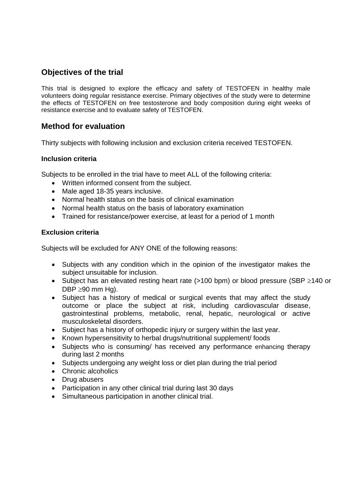#### **Objectives of the trial**

This trial is designed to explore the efficacy and safety of TESTOFEN in healthy male volunteers doing regular resistance exercise. Primary objectives of the study were to determine the effects of TESTOFEN on free testosterone and body composition during eight weeks of resistance exercise and to evaluate safety of TESTOFEN.

#### **Method for evaluation**

Thirty subjects with following inclusion and exclusion criteria received TESTOFEN.

#### **Inclusion criteria**

Subjects to be enrolled in the trial have to meet ALL of the following criteria:

- Written informed consent from the subject.
- Male aged 18-35 years inclusive.
- Normal health status on the basis of clinical examination
- Normal health status on the basis of laboratory examination
- Trained for resistance/power exercise, at least for a period of 1 month

#### **Exclusion criteria**

Subjects will be excluded for ANY ONE of the following reasons:

- Subjects with any condition which in the opinion of the investigator makes the subject unsuitable for inclusion.
- Subject has an elevated resting heart rate (>100 bpm) or blood pressure (SBP ≥140 or DBP  $\geq$ 90 mm Hg).
- Subject has a history of medical or surgical events that may affect the study outcome or place the subject at risk, including cardiovascular disease, gastrointestinal problems, metabolic, renal, hepatic, neurological or active musculoskeletal disorders.
- Subject has a history of orthopedic injury or surgery within the last year.
- Known hypersensitivity to herbal drugs/nutritional supplement/ foods
- Subjects who is consuming/ has received any performance enhancing therapy during last 2 months
- Subjects undergoing any weight loss or diet plan during the trial period
- Chronic alcoholics
- Drug abusers
- Participation in any other clinical trial during last 30 days
- Simultaneous participation in another clinical trial.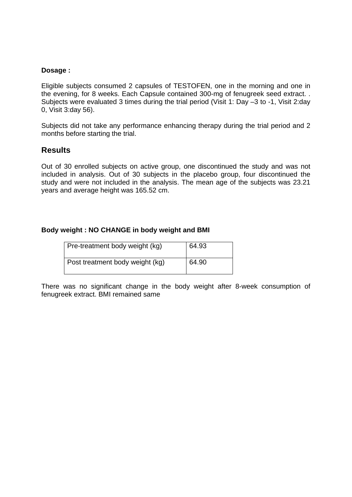#### **Dosage :**

Eligible subjects consumed 2 capsules of TESTOFEN, one in the morning and one in the evening, for 8 weeks. Each Capsule contained 300-mg of fenugreek seed extract. . Subjects were evaluated 3 times during the trial period (Visit 1: Day –3 to -1, Visit 2:day 0, Visit 3:day 56).

Subjects did not take any performance enhancing therapy during the trial period and 2 months before starting the trial.

#### **Results**

Out of 30 enrolled subjects on active group, one discontinued the study and was not included in analysis. Out of 30 subjects in the placebo group, four discontinued the study and were not included in the analysis. The mean age of the subjects was 23.21 years and average height was 165.52 cm.

#### **Body weight : NO CHANGE in body weight and BMI**

| Pre-treatment body weight (kg)  | 64.93 |
|---------------------------------|-------|
| Post treatment body weight (kg) | 64.90 |

There was no significant change in the body weight after 8-week consumption of fenugreek extract. BMI remained same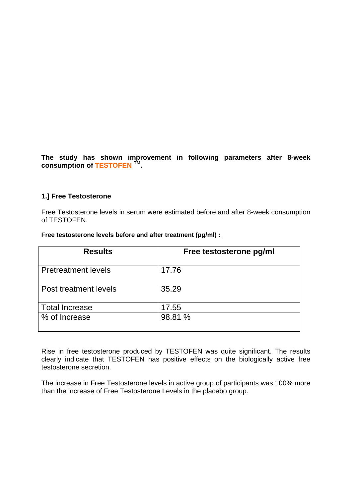**The study has shown improvement in following parameters after 8-week consumption of TESTOFEN TM.** 

#### **1.] Free Testosterone**

Free Testosterone levels in serum were estimated before and after 8-week consumption of TESTOFEN.

| <b>Results</b>             | Free testosterone pg/ml |
|----------------------------|-------------------------|
| <b>Pretreatment levels</b> | 17.76                   |
| Post treatment levels      | 35.29                   |
| <b>Total Increase</b>      | 17.55                   |
| % of Increase              | 98.81 %                 |
|                            |                         |

#### **Free testosterone levels before and after treatment (pg/ml) :**

Rise in free testosterone produced by TESTOFEN was quite significant. The results clearly indicate that TESTOFEN has positive effects on the biologically active free testosterone secretion.

The increase in Free Testosterone levels in active group of participants was 100% more than the increase of Free Testosterone Levels in the placebo group.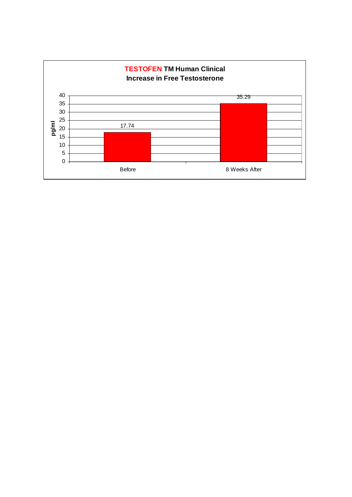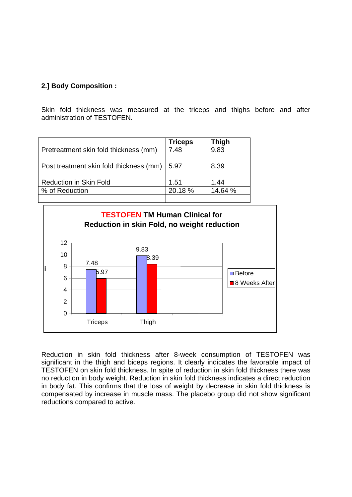#### **2.] Body Composition :**

Skin fold thickness was measured at the triceps and thighs before and after administration of TESTOFEN.

|                                         | <b>Triceps</b> | <b>Thigh</b> |
|-----------------------------------------|----------------|--------------|
| Pretreatment skin fold thickness (mm)   | 7.48           | 9.83         |
| Post treatment skin fold thickness (mm) | 5.97           | 8.39         |
| <b>Reduction in Skin Fold</b>           | 1.51           | 1.44         |
| % of Reduction                          | 20.18 %        | 14.64 %      |
|                                         |                |              |



Reduction in skin fold thickness after 8-week consumption of TESTOFEN was significant in the thigh and biceps regions. It clearly indicates the favorable impact of TESTOFEN on skin fold thickness. In spite of reduction in skin fold thickness there was no reduction in body weight. Reduction in skin fold thickness indicates a direct reduction in body fat. This confirms that the loss of weight by decrease in skin fold thickness is compensated by increase in muscle mass. The placebo group did not show significant reductions compared to active.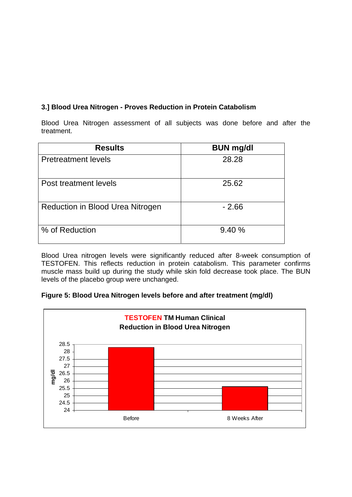#### **3.] Blood Urea Nitrogen - Proves Reduction in Protein Catabolism**

Blood Urea Nitrogen assessment of all subjects was done before and after the treatment.

| <b>Results</b>                   | <b>BUN mg/dl</b> |
|----------------------------------|------------------|
| <b>Pretreatment levels</b>       | 28.28            |
| Post treatment levels            | 25.62            |
| Reduction in Blood Urea Nitrogen | $-2.66$          |
| % of Reduction                   | 9.40%            |

Blood Urea nitrogen levels were significantly reduced after 8-week consumption of TESTOFEN. This reflects reduction in protein catabolism. This parameter confirms muscle mass build up during the study while skin fold decrease took place. The BUN levels of the placebo group were unchanged.